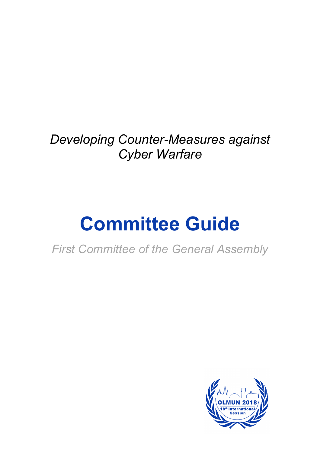*Developing Counter-Measures against Cyber Warfare*

# **Committee Guide**

*First Committee of the General Assembly* 

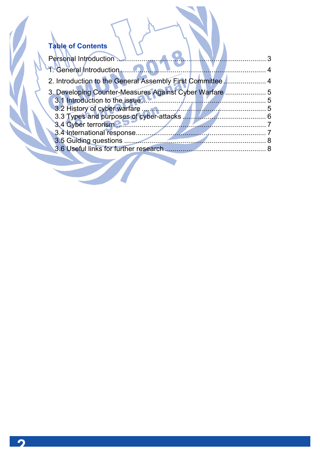# **Table of Contents**

| Personal Introduction                                                                                                                                                                                                                |  |
|--------------------------------------------------------------------------------------------------------------------------------------------------------------------------------------------------------------------------------------|--|
| 1. General Introduction                                                                                                                                                                                                              |  |
| 2. Introduction to the General Assembly First Committee 4                                                                                                                                                                            |  |
| 3. Developing Counter-Measures Against Cyber Warfare<br>. 5                                                                                                                                                                          |  |
| 3.1 Introduction to the issue <b>All and the set of the set of the set of the set of the set of the set of the set of the set of the set of the set of the set of the set of the set of the set of the set of the set of the set</b> |  |
|                                                                                                                                                                                                                                      |  |
|                                                                                                                                                                                                                                      |  |
|                                                                                                                                                                                                                                      |  |
|                                                                                                                                                                                                                                      |  |
|                                                                                                                                                                                                                                      |  |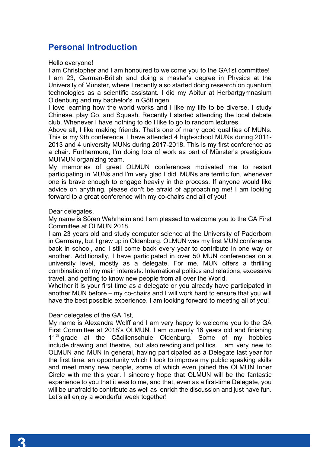# **Personal Introduction**

Hello everyone!

I am Christopher and I am honoured to welcome you to the GA1st committee! I am 23, German-British and doing a master's degree in Physics at the University of Münster, where I recently also started doing research on quantum technologies as a scientific assistant. I did my Abitur at Herbartgymnasium Oldenburg and my bachelor's in Göttingen.

I love learning how the world works and I like my life to be diverse. I study Chinese, play Go, and Squash. Recently I started attending the local debate club. Whenever I have nothing to do I like to go to random lectures.

Above all, I like making friends. That's one of many good qualities of MUNs. This is my 9th conference. I have attended 4 high-school MUNs during 2011- 2013 and 4 university MUNs during 2017-2018. This is my first conference as a chair. Furthermore, I'm doing lots of work as part of Münster's prestigious MUIMUN organizing team.

My memories of great OLMUN conferences motivated me to restart participating in MUNs and I'm very glad I did. MUNs are terrific fun, whenever one is brave enough to engage heavily in the process. If anyone would like advice on anything, please don't be afraid of approaching me! I am looking forward to a great conference with my co-chairs and all of you!

Dear delegates,

My name is Sören Wehrheim and I am pleased to welcome you to the GA First Committee at OLMUN 2018.

I am 23 years old and study computer science at the University of Paderborn in Germany, but I grew up in Oldenburg. OLMUN was my first MUN conference back in school, and I still come back every year to contribute in one way or another. Additionally, I have participated in over 50 MUN conferences on a university level, mostly as a delegate. For me, MUN offers a thrilling combination of my main interests: International politics and relations, excessive travel, and getting to know new people from all over the World.

Whether it is your first time as a delegate or you already have participated in another MUN before – my co-chairs and I will work hard to ensure that you will have the best possible experience. I am looking forward to meeting all of you!

#### Dear delegates of the GA 1st,

My name is Alexandra Wolff and I am very happy to welcome you to the GA First Committee at 2018's OLMUN. I am currently 16 years old and finishing  $11<sup>th</sup>$  grade at the Cäcilienschule Oldenburg. Some of my hobbies include drawing and theatre, but also reading and politics. I am very new to OLMUN and MUN in general, having participated as a Delegate last year for the first time, an opportunity which I took to improve my public speaking skills and meet many new people, some of which even joined the OLMUN Inner Circle with me this year. I sincerely hope that OLMUN will be the fantastic experience to you that it was to me, and that, even as a first-time Delegate, you will be unafraid to contribute as well as enrich the discussion and just have fun. Let's all enjoy a wonderful week together!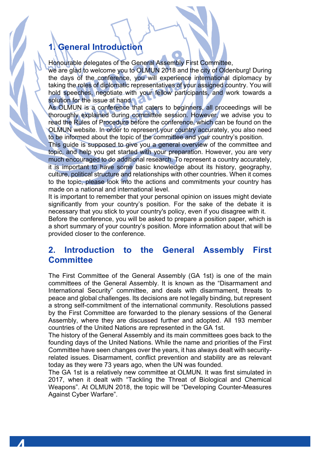# **1. General Introduction**

Honourable delegates of the General Assembly First Committee,

we are glad to welcome you to OLMUN 2018 and the city of Oldenburg! During the days of the conference, you will experience international diplomacy by taking the roles of diplomatic representatives of your assigned country. You will hold speeches, negotiate with your fellow participants, and work towards a solution for the issue at hand.

As OLMUN is a conference that caters to beginners, all proceedings will be thoroughly explained during committee session. However, we advise you to read the Rules of Procedure before the conference, which can be found on the OLMUN website. In order to represent your country accurately, you also need to be informed about the topic of the committee and your country's position.

This guide is supposed to give you a general overview of the committee and topic, and help you get started with your preparation. However, you are very much encouraged to do additional research. To represent a country accurately, it is important to have some basic knowledge about its history, geography, culture, political structure and relationships with other countries. When it comes to the topic, please look into the actions and commitments your country has made on a national and international level.

It is important to remember that your personal opinion on issues might deviate significantly from your country's position. For the sake of the debate it is necessary that you stick to your country's policy, even if you disagree with it.

Before the conference, you will be asked to prepare a position paper, which is a short summary of your country's position. More information about that will be provided closer to the conference.

### **2. Introduction to the General Assembly First Committee**

The First Committee of the General Assembly (GA 1st) is one of the main committees of the General Assembly. It is known as the "Disarmament and International Security" committee, and deals with disarmament, threats to peace and global challenges. Its decisions are not legally binding, but represent a strong self-commitment of the international community. Resolutions passed by the First Committee are forwarded to the plenary sessions of the General Assembly, where they are discussed further and adopted. All 193 member countries of the United Nations are represented in the GA 1st.

The history of the General Assembly and its main committees goes back to the founding days of the United Nations. While the name and priorities of the First Committee have seen changes over the years, it has always dealt with securityrelated issues. Disarmament, conflict prevention and stability are as relevant today as they were 73 years ago, when the UN was founded.

The GA 1st is a relatively new committee at OLMUN. It was first simulated in 2017, when it dealt with "Tackling the Threat of Biological and Chemical Weapons". At OLMUN 2018, the topic will be "Developing Counter-Measures Against Cyber Warfare".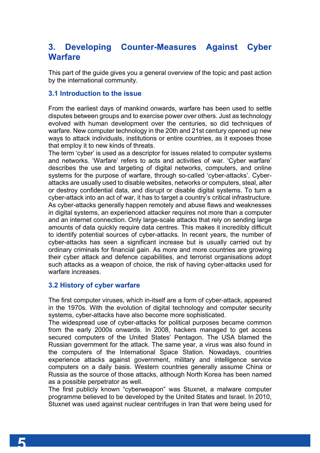# **3. Developing Counter-Measures Against Cyber Warfare**

This part of the guide gives you a general overview of the topic and past action by the international community.

#### **3.1 Introduction to the issue**

From the earliest days of mankind onwards, warfare has been used to settle disputes between groups and to exercise power over others. Just as technology evolved with human development over the centuries, so did techniques of warfare. New computer technology in the 20th and 21st century opened up new ways to attack individuals, institutions or entire countries, as it exposes those that employ it to new kinds of threats.

The term 'cyber' is used as a descriptor for issues related to computer systems and networks. 'Warfare' refers to acts and activities of war. 'Cyber warfare' describes the use and targeting of digital networks, computers, and online systems for the purpose of warfare, through so-called 'cyber-attacks'. Cyberattacks are usually used to disable websites, networks or computers, steal, alter or destroy confidential data, and disrupt or disable digital systems. To turn a cyber-attack into an act of war, it has to target a country's critical infrastructure. As cyber-attacks generally happen remotely and abuse flaws and weaknesses in digital systems, an experienced attacker requires not more than a computer and an internet connection. Only large-scale attacks that rely on sending large amounts of data quickly require data centres. This makes it incredibly difficult to identify potential sources of cyber-attacks. In recent years, the number of cyber-attacks has seen a significant increase but is usually carried out by ordinary criminals for financial gain. As more and more countries are growing their cyber attack and defence capabilities, and terrorist organisations adopt such attacks as a weapon of choice, the risk of having cyber-attacks used for warfare increases.

#### **3.2 History of cyber warfare**

The first computer viruses, which in-itself are a form of cyber-attack, appeared in the 1970s. With the evolution of digital technology and computer security systems, cyber-attacks have also become more sophisticated.

The widespread use of cyber-attacks for political purposes became common from the early 2000s onwards. In 2008, hackers managed to get access secured computers of the United States' Pentagon. The USA blamed the Russian government for the attack. The same year, a virus was also found in the computers of the International Space Station. Nowadays, countries experience attacks against government, military and intelligence service computers on a daily basis. Western countries generally assume China or Russia as the source of those attacks, although North Korea has been named as a possible perpetrator as well.

The first publicly known "cyberweapon" was Stuxnet, a malware computer programme believed to be developed by the United States and Israel. In 2010, Stuxnet was used against nuclear centrifuges in Iran that were being used for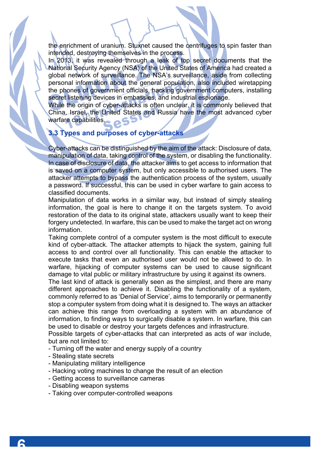the enrichment of uranium. Stuxnet caused the centrifuges to spin faster than intended, destroying themselves in the process.

In 2013, it was revealed through a leak of top secret documents that the National Security Agency (NSA) of the United States of America had created a global network of surveillance. The NSA's surveillance, aside from collecting personal information about the general population, also included wiretapping the phones of government officials, hacking government computers, installing secret listening devices in embassies, and industrial espionage.

While the origin of cyber-attacks is often unclear, it is commonly believed that China, Israel, the United States and Russia have the most advanced cyber warfare capabilities.

#### **3.3 Types and purposes of cyber-attacks**

Cyber-attacks can be distinguished by the aim of the attack: Disclosure of data, manipulation of data, taking control of the system, or disabling the functionality. In case of disclosure of data, the attacker aims to get access to information that is saved on a computer system, but only accessible to authorised users. The attacker attempts to bypass the authentication process of the system, usually a password. If successful, this can be used in cyber warfare to gain access to classified documents.

Manipulation of data works in a similar way, but instead of simply stealing information, the goal is here to change it on the targets system. To avoid restoration of the data to its original state, attackers usually want to keep their forgery undetected. In warfare, this can be used to make the target act on wrong information.

Taking complete control of a computer system is the most difficult to execute kind of cyber-attack. The attacker attempts to hijack the system, gaining full access to and control over all functionality. This can enable the attacker to execute tasks that even an authorised user would not be allowed to do. In warfare, hijacking of computer systems can be used to cause significant damage to vital public or military infrastructure by using it against its owners.

The last kind of attack is generally seen as the simplest, and there are many different approaches to achieve it. Disabling the functionality of a system, commonly referred to as 'Denial of Service', aims to temporarily or permanently stop a computer system from doing what it is designed to. The ways an attacker can achieve this range from overloading a system with an abundance of information, to finding ways to surgically disable a system. In warfare, this can be used to disable or destroy your targets defences and infrastructure.

Possible targets of cyber-attacks that can interpreted as acts of war include, but are not limited to:

- Turning off the water and energy supply of a country
- Stealing state secrets
- Manipulating military intelligence
- Hacking voting machines to change the result of an election
- Getting access to surveillance cameras
- Disabling weapon systems
- Taking over computer-controlled weapons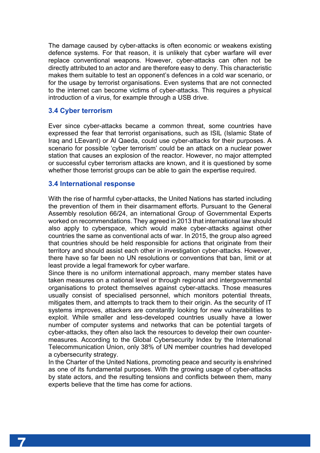The damage caused by cyber-attacks is often economic or weakens existing defence systems. For that reason, it is unlikely that cyber warfare will ever replace conventional weapons. However, cyber-attacks can often not be directly attributed to an actor and are therefore easy to deny. This characteristic makes them suitable to test an opponent's defences in a cold war scenario, or for the usage by terrorist organisations. Even systems that are not connected to the internet can become victims of cyber-attacks. This requires a physical introduction of a virus, for example through a USB drive.

#### **3.4 Cyber terrorism**

Ever since cyber-attacks became a common threat, some countries have expressed the fear that terrorist organisations, such as ISIL (Islamic State of Iraq and LEevant) or Al Qaeda, could use cyber-attacks for their purposes. A scenario for possible 'cyber terrorism' could be an attack on a nuclear power station that causes an explosion of the reactor. However, no major attempted or successful cyber terrorism attacks are known, and it is questioned by some whether those terrorist groups can be able to gain the expertise required.

#### **3.4 International response**

With the rise of harmful cyber-attacks, the United Nations has started including the prevention of them in their disarmament efforts. Pursuant to the General Assembly resolution 66/24, an international Group of Governmental Experts worked on recommendations. They agreed in 2013 that international law should also apply to cyberspace, which would make cyber-attacks against other countries the same as conventional acts of war. In 2015, the group also agreed that countries should be held responsible for actions that originate from their territory and should assist each other in investigation cyber-attacks. However, there have so far been no UN resolutions or conventions that ban, limit or at least provide a legal framework for cyber warfare.

Since there is no uniform international approach, many member states have taken measures on a national level or through regional and intergovernmental organisations to protect themselves against cyber-attacks. Those measures usually consist of specialised personnel, which monitors potential threats, mitigates them, and attempts to track them to their origin. As the security of IT systems improves, attackers are constantly looking for new vulnerabilities to exploit. While smaller and less-developed countries usually have a lower number of computer systems and networks that can be potential targets of cyber-attacks, they often also lack the resources to develop their own countermeasures. According to the Global Cybersecurity Index by the International Telecommunication Union, only 38% of UN member countries had developed a cybersecurity strategy.

In the Charter of the United Nations, promoting peace and security is enshrined as one of its fundamental purposes. With the growing usage of cyber-attacks by state actors, and the resulting tensions and conflicts between them, many experts believe that the time has come for actions.